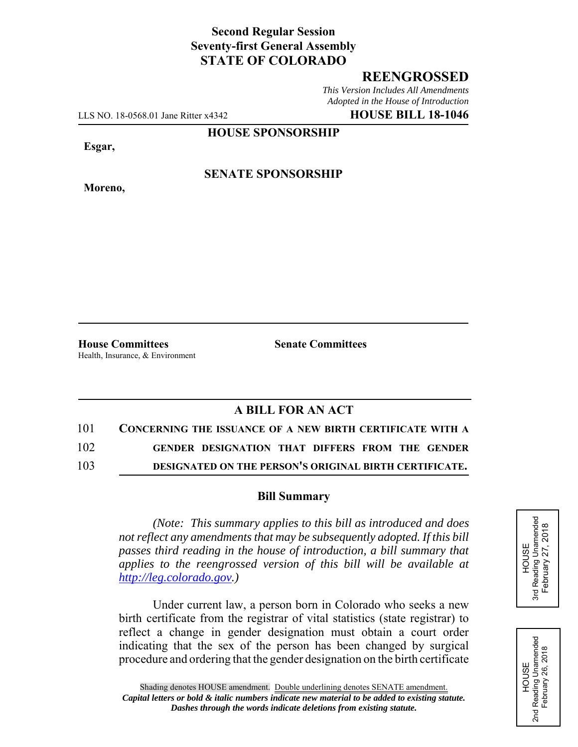# **Second Regular Session Seventy-first General Assembly STATE OF COLORADO**

## **REENGROSSED**

*This Version Includes All Amendments Adopted in the House of Introduction*

LLS NO. 18-0568.01 Jane Ritter x4342 **HOUSE BILL 18-1046**

### **HOUSE SPONSORSHIP**

**Esgar,**

**Moreno,**

**SENATE SPONSORSHIP**

**House Committees Senate Committees** Health, Insurance, & Environment

## **A BILL FOR AN ACT**

| 101 | <b>CONCERNING THE ISSUANCE OF A NEW BIRTH CERTIFICATE WITH A</b> |
|-----|------------------------------------------------------------------|
| 102 | GENDER DESIGNATION THAT DIFFERS FROM THE GENDER                  |
| 103 | DESIGNATED ON THE PERSON'S ORIGINAL BIRTH CERTIFICATE.           |

#### **Bill Summary**

*(Note: This summary applies to this bill as introduced and does not reflect any amendments that may be subsequently adopted. If this bill passes third reading in the house of introduction, a bill summary that applies to the reengrossed version of this bill will be available at http://leg.colorado.gov.)*

Under current law, a person born in Colorado who seeks a new birth certificate from the registrar of vital statistics (state registrar) to reflect a change in gender designation must obtain a court order indicating that the sex of the person has been changed by surgical procedure and ordering that the gender designation on the birth certificate



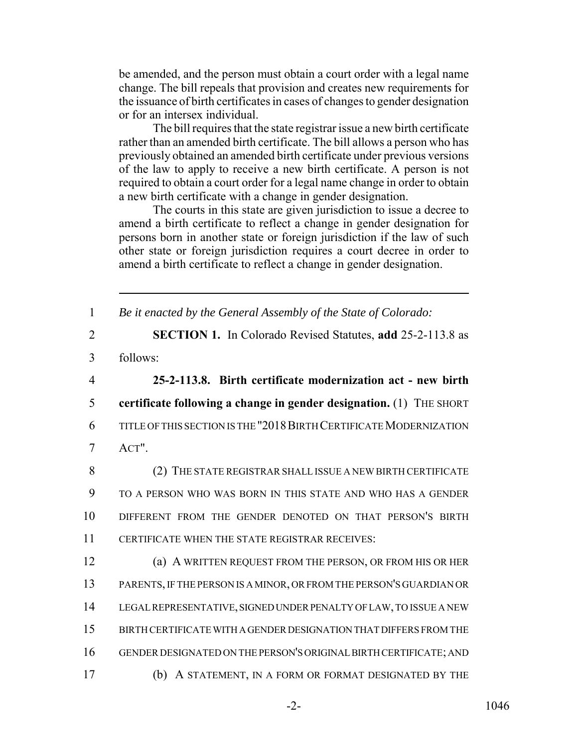be amended, and the person must obtain a court order with a legal name change. The bill repeals that provision and creates new requirements for the issuance of birth certificates in cases of changes to gender designation or for an intersex individual.

The bill requires that the state registrar issue a new birth certificate rather than an amended birth certificate. The bill allows a person who has previously obtained an amended birth certificate under previous versions of the law to apply to receive a new birth certificate. A person is not required to obtain a court order for a legal name change in order to obtain a new birth certificate with a change in gender designation.

The courts in this state are given jurisdiction to issue a decree to amend a birth certificate to reflect a change in gender designation for persons born in another state or foreign jurisdiction if the law of such other state or foreign jurisdiction requires a court decree in order to amend a birth certificate to reflect a change in gender designation.

1 *Be it enacted by the General Assembly of the State of Colorado:*

2 **SECTION 1.** In Colorado Revised Statutes, **add** 25-2-113.8 as

3 follows:

 **25-2-113.8. Birth certificate modernization act - new birth certificate following a change in gender designation.** (1) THE SHORT TITLE OF THIS SECTION IS THE "2018BIRTH CERTIFICATE MODERNIZATION 7 ACT".

 (2) THE STATE REGISTRAR SHALL ISSUE A NEW BIRTH CERTIFICATE TO A PERSON WHO WAS BORN IN THIS STATE AND WHO HAS A GENDER DIFFERENT FROM THE GENDER DENOTED ON THAT PERSON'S BIRTH CERTIFICATE WHEN THE STATE REGISTRAR RECEIVES:

 (a) A WRITTEN REQUEST FROM THE PERSON, OR FROM HIS OR HER PARENTS, IF THE PERSON IS A MINOR, OR FROM THE PERSON'S GUARDIAN OR LEGAL REPRESENTATIVE, SIGNED UNDER PENALTY OF LAW, TO ISSUE A NEW BIRTH CERTIFICATE WITH A GENDER DESIGNATION THAT DIFFERS FROM THE GENDER DESIGNATED ON THE PERSON'S ORIGINAL BIRTH CERTIFICATE; AND (b) A STATEMENT, IN A FORM OR FORMAT DESIGNATED BY THE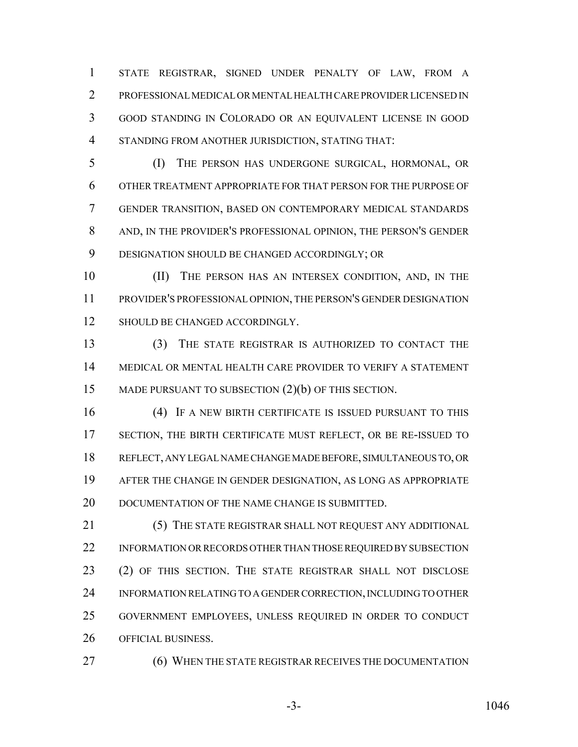STATE REGISTRAR, SIGNED UNDER PENALTY OF LAW, FROM A PROFESSIONAL MEDICAL OR MENTAL HEALTH CARE PROVIDER LICENSED IN GOOD STANDING IN COLORADO OR AN EQUIVALENT LICENSE IN GOOD STANDING FROM ANOTHER JURISDICTION, STATING THAT:

 (I) THE PERSON HAS UNDERGONE SURGICAL, HORMONAL, OR OTHER TREATMENT APPROPRIATE FOR THAT PERSON FOR THE PURPOSE OF GENDER TRANSITION, BASED ON CONTEMPORARY MEDICAL STANDARDS AND, IN THE PROVIDER'S PROFESSIONAL OPINION, THE PERSON'S GENDER DESIGNATION SHOULD BE CHANGED ACCORDINGLY; OR

 (II) THE PERSON HAS AN INTERSEX CONDITION, AND, IN THE PROVIDER'S PROFESSIONAL OPINION, THE PERSON'S GENDER DESIGNATION 12 SHOULD BE CHANGED ACCORDINGLY.

 (3) THE STATE REGISTRAR IS AUTHORIZED TO CONTACT THE MEDICAL OR MENTAL HEALTH CARE PROVIDER TO VERIFY A STATEMENT 15 MADE PURSUANT TO SUBSECTION  $(2)(b)$  OF THIS SECTION.

 (4) IF A NEW BIRTH CERTIFICATE IS ISSUED PURSUANT TO THIS 17 SECTION, THE BIRTH CERTIFICATE MUST REFLECT, OR BE RE-ISSUED TO REFLECT, ANY LEGAL NAME CHANGE MADE BEFORE, SIMULTANEOUS TO, OR AFTER THE CHANGE IN GENDER DESIGNATION, AS LONG AS APPROPRIATE 20 DOCUMENTATION OF THE NAME CHANGE IS SUBMITTED.

 (5) THE STATE REGISTRAR SHALL NOT REQUEST ANY ADDITIONAL INFORMATION OR RECORDS OTHER THAN THOSE REQUIRED BY SUBSECTION (2) OF THIS SECTION. THE STATE REGISTRAR SHALL NOT DISCLOSE INFORMATION RELATING TO A GENDER CORRECTION, INCLUDING TO OTHER GOVERNMENT EMPLOYEES, UNLESS REQUIRED IN ORDER TO CONDUCT OFFICIAL BUSINESS.

(6) WHEN THE STATE REGISTRAR RECEIVES THE DOCUMENTATION